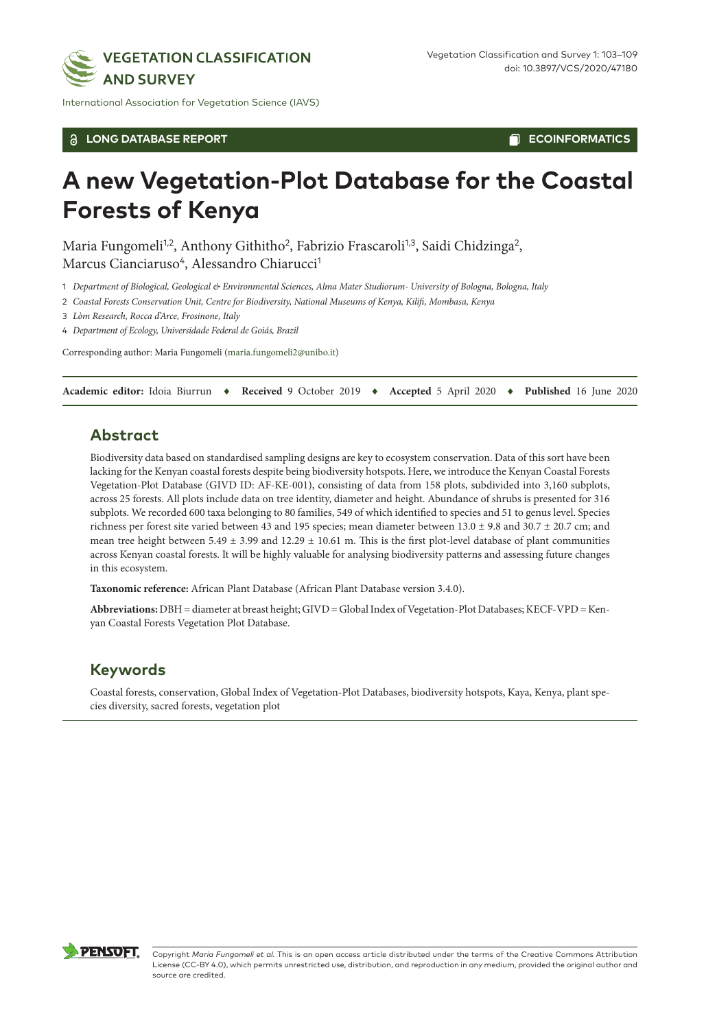

International Association for Vegetation Science (IAVS)

#### **LONG DATABASE REPORT**

**ECOINFORMATICS**Π

# **A new Vegetation-Plot Database for the Coastal Forests of Kenya**

Maria Fungomeli<sup>1,2</sup>, Anthony Githitho<sup>2</sup>, Fabrizio Frascaroli<sup>1,3</sup>, Saidi Chidzinga<sup>2</sup>, Marcus Cianciaruso<sup>4</sup>, Alessandro Chiarucci<sup>1</sup>

1 *Department of Biological, Geological & Environmental Sciences, Alma Mater Studiorum- University of Bologna, Bologna, Italy*

2 *Coastal Forests Conservation Unit, Centre for Biodiversity, National Museums of Kenya, Kilifi, Mombasa, Kenya*

3 *Lòm Research, Rocca d'Arce, Frosinone, Italy*

4 *Department of Ecology, Universidade Federal de Goiás, Brazil*

Corresponding author: Maria Fungomeli [\(maria.fungomeli2@unibo.it](mailto:maria.fungomeli2@unibo.it))

**Academic editor:** Idoia Biurrun ♦ **Received** 9 October 2019 ♦ **Accepted** 5 April 2020 ♦ **Published** 16 June 2020

# **Abstract**

Biodiversity data based on standardised sampling designs are key to ecosystem conservation. Data of this sort have been lacking for the Kenyan coastal forests despite being biodiversity hotspots. Here, we introduce the Kenyan Coastal Forests Vegetation-Plot Database (GIVD ID: AF-KE-001), consisting of data from 158 plots, subdivided into 3,160 subplots, across 25 forests. All plots include data on tree identity, diameter and height. Abundance of shrubs is presented for 316 subplots. We recorded 600 taxa belonging to 80 families, 549 of which identified to species and 51 to genus level. Species richness per forest site varied between 43 and 195 species; mean diameter between 13.0 ± 9.8 and 30.7 ± 20.7 cm; and mean tree height between  $5.49 \pm 3.99$  and  $12.29 \pm 10.61$  m. This is the first plot-level database of plant communities across Kenyan coastal forests. It will be highly valuable for analysing biodiversity patterns and assessing future changes in this ecosystem.

**Taxonomic reference:** African Plant Database (African Plant Database version 3.4.0).

Abbreviations: DBH = diameter at breast height; GIVD = Global Index of Vegetation-Plot Databases; KECF-VPD = Kenyan Coastal Forests Vegetation Plot Database.

### **Keywords**

Coastal forests, conservation, Global Index of Vegetation-Plot Databases, biodiversity hotspots, Kaya, Kenya, plant species diversity, sacred forests, vegetation plot

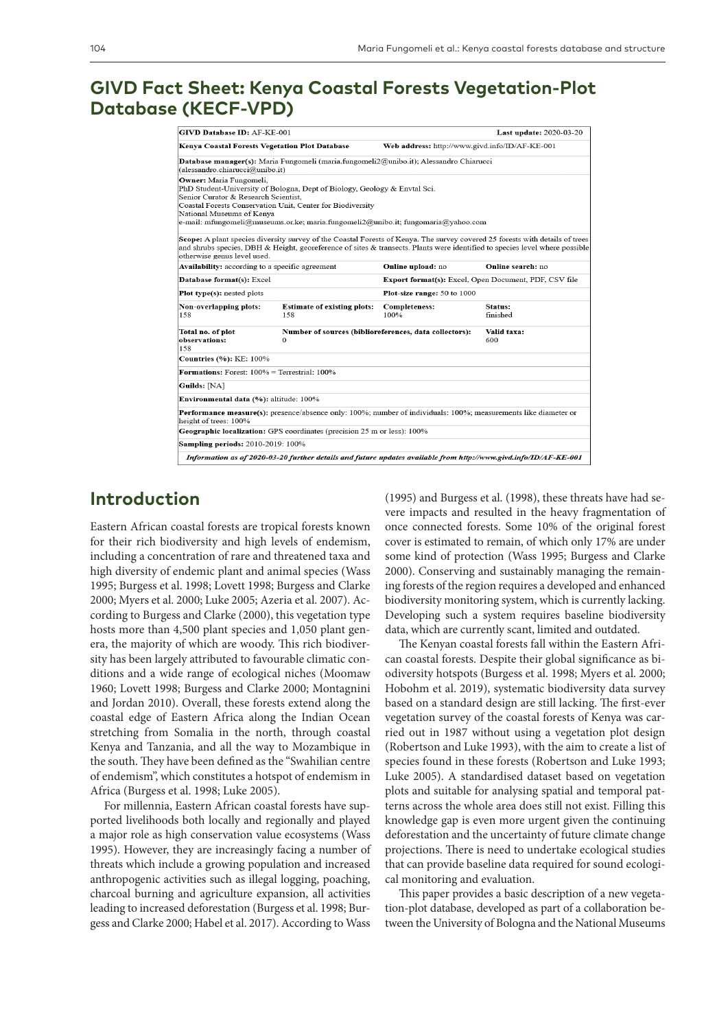# **GIVD Fact Sheet: Kenya Coastal Forests Vegetation-Plot Database (KECF-VPD)**

| <b>GIVD Database ID: AF-KE-001</b>                                                           |                                                                                                                                                                                                                              |                                                | <b>Last update: 2020-03-20</b>                                                                                                                                                                                                                              |  |  |
|----------------------------------------------------------------------------------------------|------------------------------------------------------------------------------------------------------------------------------------------------------------------------------------------------------------------------------|------------------------------------------------|-------------------------------------------------------------------------------------------------------------------------------------------------------------------------------------------------------------------------------------------------------------|--|--|
| Kenya Coastal Forests Vegetation Plot Database                                               |                                                                                                                                                                                                                              | Web address: http://www.givd.info/ID/AF-KE-001 |                                                                                                                                                                                                                                                             |  |  |
| (alessandro.chiarucci@unibo.it)                                                              | Database manager(s): Maria Fungomeli (maria.fungomeli2@unibo.it); Alessandro Chiarucci                                                                                                                                       |                                                |                                                                                                                                                                                                                                                             |  |  |
| Owner: Maria Fungomeli,<br>Senior Curator & Research Scientist.<br>National Museums of Kenya | PhD Student-University of Bologna, Dept of Biology, Geology & Envtal Sci.<br>Coastal Forests Conservation Unit, Center for Biodiversity<br>e-mail: mfungomeli@museums.or.ke; maria.fungomeli2@unibo.it; fungomaria@yahoo.com |                                                |                                                                                                                                                                                                                                                             |  |  |
| otherwise genus level used.                                                                  |                                                                                                                                                                                                                              |                                                | Scope: A plant species diversity survey of the Coastal Forests of Kenya. The survey covered 25 forests with details of trees<br>and shrubs species, DBH & Height, georeference of sites & transects. Plants were identified to species level where possible |  |  |
| Availability: according to a specific agreement                                              |                                                                                                                                                                                                                              | Online upload: no                              | Online search: no                                                                                                                                                                                                                                           |  |  |
| Database format(s): Excel                                                                    |                                                                                                                                                                                                                              |                                                | Export format(s): Excel, Open Document, PDF, CSV file                                                                                                                                                                                                       |  |  |
| Plot type(s): nested plots                                                                   |                                                                                                                                                                                                                              | Plot-size range: 50 to 1000                    |                                                                                                                                                                                                                                                             |  |  |
| Non-overlapping plots:<br>158                                                                | <b>Estimate of existing plots:</b><br>158                                                                                                                                                                                    | <b>Completeness:</b><br>100%                   | Status:<br>finished                                                                                                                                                                                                                                         |  |  |
| Total no. of plot<br>observations:<br>158                                                    | Number of sources (biblioreferences, data collectors):<br>$\Omega$                                                                                                                                                           |                                                | Valid taxa:<br>600                                                                                                                                                                                                                                          |  |  |
| <b>Countries (%): KE: 100%</b>                                                               |                                                                                                                                                                                                                              |                                                |                                                                                                                                                                                                                                                             |  |  |
| <b>Formations:</b> Forest: $100\%$ = Terrestrial: $100\%$                                    |                                                                                                                                                                                                                              |                                                |                                                                                                                                                                                                                                                             |  |  |
| Guilds: [NA]                                                                                 |                                                                                                                                                                                                                              |                                                |                                                                                                                                                                                                                                                             |  |  |
| <b>Environmental data (%):</b> altitude: 100%                                                |                                                                                                                                                                                                                              |                                                |                                                                                                                                                                                                                                                             |  |  |
| height of trees: 100%                                                                        | Performance measure(s): presence/absence only: 100%; number of individuals: 100%; measurements like diameter or                                                                                                              |                                                |                                                                                                                                                                                                                                                             |  |  |
|                                                                                              | Geographic localization: GPS coordinates (precision 25 m or less): 100%                                                                                                                                                      |                                                |                                                                                                                                                                                                                                                             |  |  |
| Sampling periods: 2010-2019: 100%                                                            |                                                                                                                                                                                                                              |                                                |                                                                                                                                                                                                                                                             |  |  |
|                                                                                              |                                                                                                                                                                                                                              |                                                | Information as of 2020-03-20 further details and future updates available from http://www.givd.info/ID/AF-KE-001                                                                                                                                            |  |  |

# **Introduction**

Eastern African coastal forests are tropical forests known for their rich biodiversity and high levels of endemism, including a concentration of rare and threatened taxa and high diversity of endemic plant and animal species (Wass 1995; Burgess et al. 1998; Lovett 1998; Burgess and Clarke 2000; Myers et al. 2000; Luke 2005; Azeria et al. 2007). According to Burgess and Clarke (2000), this vegetation type hosts more than 4,500 plant species and 1,050 plant genera, the majority of which are woody. This rich biodiversity has been largely attributed to favourable climatic conditions and a wide range of ecological niches (Moomaw 1960; Lovett 1998; Burgess and Clarke 2000; Montagnini and Jordan 2010). Overall, these forests extend along the coastal edge of Eastern Africa along the Indian Ocean stretching from Somalia in the north, through coastal Kenya and Tanzania, and all the way to Mozambique in the south. They have been defined as the "Swahilian centre of endemism", which constitutes a hotspot of endemism in Africa (Burgess et al. 1998; Luke 2005).

For millennia, Eastern African coastal forests have supported livelihoods both locally and regionally and played a major role as high conservation value ecosystems (Wass 1995). However, they are increasingly facing a number of threats which include a growing population and increased anthropogenic activities such as illegal logging, poaching, charcoal burning and agriculture expansion, all activities leading to increased deforestation (Burgess et al. 1998; Burgess and Clarke 2000; Habel et al. 2017). According to Wass

(1995) and Burgess et al. (1998), these threats have had severe impacts and resulted in the heavy fragmentation of once connected forests. Some 10% of the original forest cover is estimated to remain, of which only 17% are under some kind of protection (Wass 1995; Burgess and Clarke 2000). Conserving and sustainably managing the remaining forests of the region requires a developed and enhanced biodiversity monitoring system, which is currently lacking. Developing such a system requires baseline biodiversity data, which are currently scant, limited and outdated.

The Kenyan coastal forests fall within the Eastern African coastal forests. Despite their global significance as biodiversity hotspots (Burgess et al. 1998; Myers et al. 2000; Hobohm et al. 2019), systematic biodiversity data survey based on a standard design are still lacking. The first-ever vegetation survey of the coastal forests of Kenya was carried out in 1987 without using a vegetation plot design (Robertson and Luke 1993), with the aim to create a list of species found in these forests (Robertson and Luke 1993; Luke 2005). A standardised dataset based on vegetation plots and suitable for analysing spatial and temporal patterns across the whole area does still not exist. Filling this knowledge gap is even more urgent given the continuing deforestation and the uncertainty of future climate change projections. There is need to undertake ecological studies that can provide baseline data required for sound ecological monitoring and evaluation.

This paper provides a basic description of a new vegetation-plot database, developed as part of a collaboration between the University of Bologna and the National Museums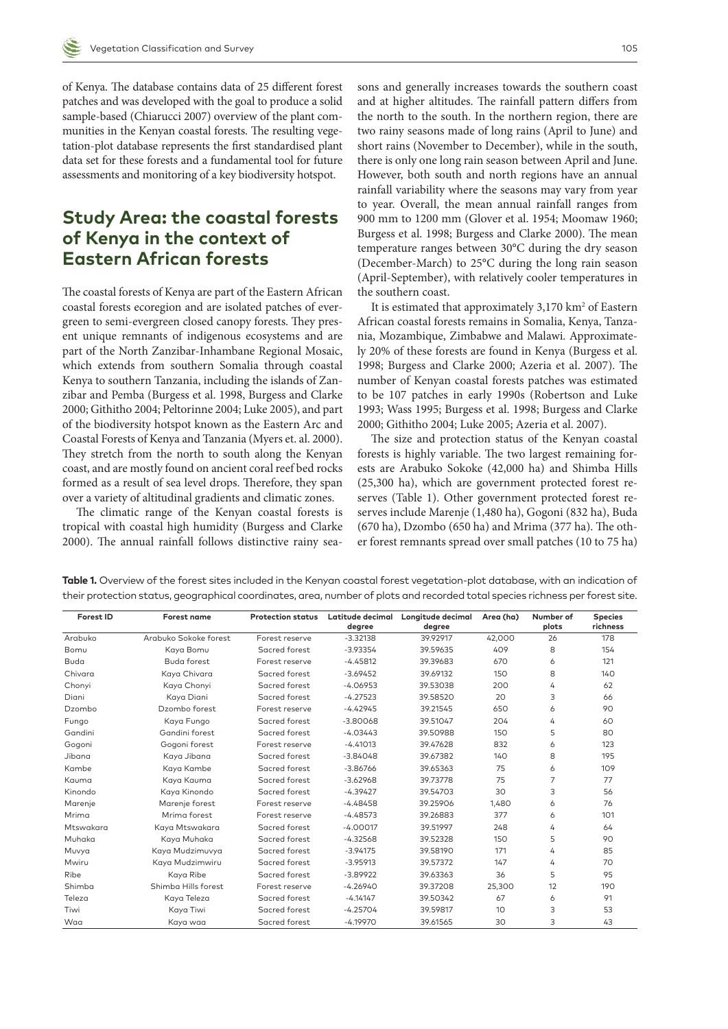of Kenya. The database contains data of 25 different forest patches and was developed with the goal to produce a solid sample-based (Chiarucci 2007) overview of the plant communities in the Kenyan coastal forests. The resulting vegetation-plot database represents the first standardised plant data set for these forests and a fundamental tool for future assessments and monitoring of a key biodiversity hotspot.

# **Study Area: the coastal forests of Kenya in the context of Eastern African forests**

The coastal forests of Kenya are part of the Eastern African coastal forests ecoregion and are isolated patches of evergreen to semi-evergreen closed canopy forests. They present unique remnants of indigenous ecosystems and are part of the North Zanzibar-Inhambane Regional Mosaic, which extends from southern Somalia through coastal Kenya to southern Tanzania, including the islands of Zanzibar and Pemba (Burgess et al. 1998, Burgess and Clarke 2000; Githitho 2004; Peltorinne 2004; Luke 2005), and part of the biodiversity hotspot known as the Eastern Arc and Coastal Forests of Kenya and Tanzania (Myers et. al. 2000). They stretch from the north to south along the Kenyan coast, and are mostly found on ancient coral reef bed rocks formed as a result of sea level drops. Therefore, they span over a variety of altitudinal gradients and climatic zones.

The climatic range of the Kenyan coastal forests is tropical with coastal high humidity (Burgess and Clarke 2000). The annual rainfall follows distinctive rainy seasons and generally increases towards the southern coast and at higher altitudes. The rainfall pattern differs from the north to the south. In the northern region, there are two rainy seasons made of long rains (April to June) and short rains (November to December), while in the south, there is only one long rain season between April and June. However, both south and north regions have an annual rainfall variability where the seasons may vary from year to year. Overall, the mean annual rainfall ranges from 900 mm to 1200 mm (Glover et al. 1954; Moomaw 1960; Burgess et al. 1998; Burgess and Clarke 2000). The mean temperature ranges between 30°C during the dry season (December-March) to 25°C during the long rain season (April-September), with relatively cooler temperatures in the southern coast.

It is estimated that approximately 3,170 km<sup>2</sup> of Eastern African coastal forests remains in Somalia, Kenya, Tanzania, Mozambique, Zimbabwe and Malawi. Approximately 20% of these forests are found in Kenya (Burgess et al. 1998; Burgess and Clarke 2000; Azeria et al. 2007). The number of Kenyan coastal forests patches was estimated to be 107 patches in early 1990s (Robertson and Luke 1993; Wass 1995; Burgess et al. 1998; Burgess and Clarke 2000; Githitho 2004; Luke 2005; Azeria et al. 2007).

The size and protection status of the Kenyan coastal forests is highly variable. The two largest remaining forests are Arabuko Sokoke (42,000 ha) and Shimba Hills (25,300 ha), which are government protected forest reserves (Table 1). Other government protected forest reserves include Marenje (1,480 ha), Gogoni (832 ha), Buda (670 ha), Dzombo (650 ha) and Mrima (377 ha). The other forest remnants spread over small patches (10 to 75 ha)

| Forest ID | Forest name           | <b>Protection status</b> | Latitude decimal | Longitude decimal | Area (ha) | Number of | <b>Species</b> |
|-----------|-----------------------|--------------------------|------------------|-------------------|-----------|-----------|----------------|
|           |                       |                          | degree           | degree            |           | plots     | richness       |
| Arabuko   | Arabuko Sokoke forest | Forest reserve           | $-3.32138$       | 39.92917          | 42.000    | 26        | 178            |
| Bomu      | Kaya Bomu             | Sacred forest            | $-3.93354$       | 39.59635          | 409       | 8         | 154            |
| Buda      | <b>Buda forest</b>    | Forest reserve           | $-4.45812$       | 39.39683          | 670       | 6         | 121            |
| Chivara   | Kaya Chivara          | Sacred forest            | $-3.69452$       | 39.69132          | 150       | 8         | 140            |
| Chonyi    | Kaya Chonyi           | Sacred forest            | $-4.06953$       | 39.53038          | 200       | 4         | 62             |
| Diani     | Kaya Diani            | Sacred forest            | $-4.27523$       | 39.58520          | 20        | 3         | 66             |
| Dzombo    | Dzombo forest         | Forest reserve           | $-4.42945$       | 39.21545          | 650       | 6         | 90             |
| Fungo     | Kaya Fungo            | Sacred forest            | $-3.80068$       | 39.51047          | 204       | 4         | 60             |
| Gandini   | Gandini forest        | Sacred forest            | $-4.03443$       | 39.50988          | 150       | 5         | 80             |
| Gogoni    | Gogoni forest         | Forest reserve           | $-4.41013$       | 39.47628          | 832       | 6         | 123            |
| Jibana    | Kaya Jibana           | Sacred forest            | $-3.84048$       | 39.67382          | 140       | 8         | 195            |
| Kambe     | Kaya Kambe            | Sacred forest            | $-3.86766$       | 39.65363          | 75        | 6         | 109            |
| Kauma     | Kaya Kauma            | Sacred forest            | $-3.62968$       | 39.73778          | 75        | 7         | 77             |
| Kinondo   | Kaya Kinondo          | Sacred forest            | $-4.39427$       | 39.54703          | 30        | 3         | 56             |
| Marenje   | Marenje forest        | Forest reserve           | $-4.48458$       | 39.25906          | 1,480     | 6         | 76             |
| Mrima     | Mrima forest          | Forest reserve           | $-4.48573$       | 39.26883          | 377       | 6         | 101            |
| Mtswakara | Kaya Mtswakara        | Sacred forest            | $-4.00017$       | 39.51997          | 248       | 4         | 64             |
| Muhaka    | Kaya Muhaka           | Sacred forest            | $-4.32568$       | 39.52328          | 150       | 5         | 90             |
| Muvya     | Kaya Mudzimuvya       | Sacred forest            | $-3.94175$       | 39.58190          | 171       | 4         | 85             |
| Mwiru     | Kaya Mudzimwiru       | Sacred forest            | $-3.95913$       | 39.57372          | 147       | 4         | 70             |
| Ribe      | Kaya Ribe             | Sacred forest            | $-3.89922$       | 39.63363          | 36        | 5         | 95             |
| Shimba    | Shimba Hills forest   | Forest reserve           | $-4.26940$       | 39.37208          | 25,300    | 12        | 190            |
| Teleza    | Kaya Teleza           | Sacred forest            | $-4.14147$       | 39.50342          | 67        | 6         | 91             |
| Tiwi      | Kaya Tiwi             | Sacred forest            | $-4.25704$       | 39.59817          | 10        | 3         | 53             |
| Waa       | Kaya waa              | Sacred forest            | $-4.19970$       | 39.61565          | 30        | 3         | 43             |

**Table 1.** Overview of the forest sites included in the Kenyan coastal forest vegetation-plot database, with an indication of their protection status, geographical coordinates, area, number of plots and recorded total species richness per forest site.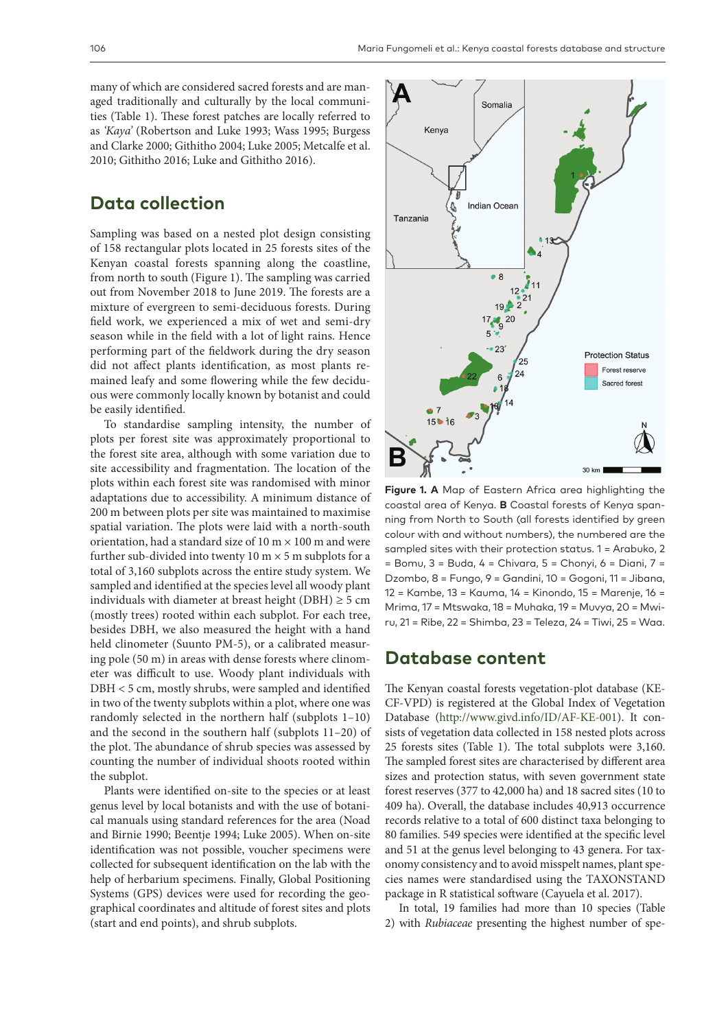many of which are considered sacred forests and are managed traditionally and culturally by the local communities (Table 1). These forest patches are locally referred to as *'Kaya'* (Robertson and Luke 1993; Wass 1995; Burgess and Clarke 2000; Githitho 2004; Luke 2005; Metcalfe et al. 2010; Githitho 2016; Luke and Githitho 2016).

# **Data collection**

Sampling was based on a nested plot design consisting of 158 rectangular plots located in 25 forests sites of the Kenyan coastal forests spanning along the coastline, from north to south (Figure 1). The sampling was carried out from November 2018 to June 2019. The forests are a mixture of evergreen to semi-deciduous forests. During field work, we experienced a mix of wet and semi-dry season while in the field with a lot of light rains. Hence performing part of the fieldwork during the dry season did not affect plants identification, as most plants remained leafy and some flowering while the few deciduous were commonly locally known by botanist and could be easily identified.

To standardise sampling intensity, the number of plots per forest site was approximately proportional to the forest site area, although with some variation due to site accessibility and fragmentation. The location of the plots within each forest site was randomised with minor adaptations due to accessibility. A minimum distance of 200 m between plots per site was maintained to maximise spatial variation. The plots were laid with a north-south orientation, had a standard size of 10 m  $\times$  100 m and were further sub-divided into twenty 10 m  $\times$  5 m subplots for a total of 3,160 subplots across the entire study system. We sampled and identified at the species level all woody plant individuals with diameter at breast height (DBH)  $\geq$  5 cm (mostly trees) rooted within each subplot. For each tree, besides DBH, we also measured the height with a hand held clinometer (Suunto PM-5), or a calibrated measuring pole (50 m) in areas with dense forests where clinometer was difficult to use. Woody plant individuals with DBH < 5 cm, mostly shrubs, were sampled and identified in two of the twenty subplots within a plot, where one was randomly selected in the northern half (subplots 1–10) and the second in the southern half (subplots 11–20) of the plot. The abundance of shrub species was assessed by counting the number of individual shoots rooted within the subplot.

Plants were identified on-site to the species or at least genus level by local botanists and with the use of botanical manuals using standard references for the area (Noad and Birnie 1990; Beentje 1994; Luke 2005). When on-site identification was not possible, voucher specimens were collected for subsequent identification on the lab with the help of herbarium specimens. Finally, Global Positioning Systems (GPS) devices were used for recording the geographical coordinates and altitude of forest sites and plots (start and end points), and shrub subplots.



**Figure 1. A** Map of Eastern Africa area highlighting the coastal area of Kenya. **B** Coastal forests of Kenya spanning from North to South (all forests identified by green colour with and without numbers), the numbered are the sampled sites with their protection status. 1 = Arabuko, 2 = Bomu, 3 = Buda, 4 = Chivara, 5 = Chonyi, 6 = Diani, 7 = Dzombo, 8 = Fungo, 9 = Gandini, 10 = Gogoni, 11 = Jibana, 12 = Kambe, 13 = Kauma, 14 = Kinondo, 15 = Marenje, 16 = Mrima, 17 = Mtswaka, 18 = Muhaka, 19 = Muvya, 20 = Mwiru, 21 = Ribe, 22 = Shimba, 23 = Teleza, 24 = Tiwi, 25 = Waa.

#### **Database content**

The Kenyan coastal forests vegetation-plot database (KE-CF-VPD) is registered at the Global Index of Vegetation Database [\(http://www.givd.info/ID/AF-KE-001\)](http://www.givd.info/ID/AF-KE-001). It consists of vegetation data collected in 158 nested plots across 25 forests sites (Table 1). The total subplots were 3,160. The sampled forest sites are characterised by different area sizes and protection status, with seven government state forest reserves (377 to 42,000 ha) and 18 sacred sites (10 to 409 ha). Overall, the database includes 40,913 occurrence records relative to a total of 600 distinct taxa belonging to 80 families. 549 species were identified at the specific level and 51 at the genus level belonging to 43 genera. For taxonomy consistency and to avoid misspelt names, plant species names were standardised using the TAXONSTAND package in R statistical software (Cayuela et al. 2017).

In total, 19 families had more than 10 species (Table 2) with *Rubiaceae* presenting the highest number of spe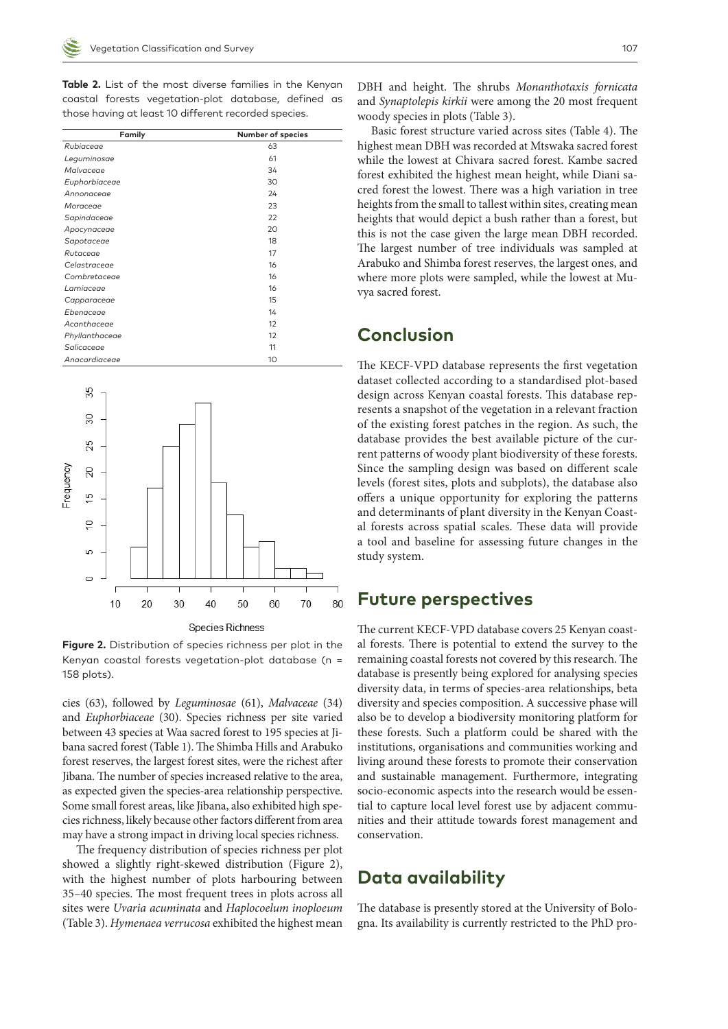**Table 2.** List of the most diverse families in the Kenyan coastal forests vegetation-plot database, defined as those having at least 10 different recorded species.

| Family         | Number of species |
|----------------|-------------------|
| Rubiaceae      | 63                |
|                |                   |
| Leguminosae    | 61                |
| Malvaceae      | 34                |
| Euphorbiaceae  | 30                |
| Annonaceae     | 24                |
| Moraceae       | 23                |
| Sapindaceae    | 22                |
| Apocynaceae    | 20                |
| Sapotaceae     | 18                |
| Rutaceae       | 17                |
| Celastraceae   | 16                |
| Combretaceae   | 16                |
| Lamiaceae      | 16                |
| Capparaceae    | 15                |
| Ebenaceae      | 14                |
| Acanthaceae    | 12                |
| Phyllanthaceae | 12                |
| Salicaceae     | 11                |
| Anacardiaceae  | 10                |



**Figure 2.** Distribution of species richness per plot in the Kenyan coastal forests vegetation-plot database (n = 158 plots).

cies (63), followed by *Leguminosae* (61), *Malvaceae* (34) and *Euphorbiaceae* (30). Species richness per site varied between 43 species at Waa sacred forest to 195 species at Jibana sacred forest (Table 1). The Shimba Hills and Arabuko forest reserves, the largest forest sites, were the richest after Jibana. The number of species increased relative to the area, as expected given the species-area relationship perspective. Some small forest areas, like Jibana, also exhibited high species richness, likely because other factors different from area may have a strong impact in driving local species richness.

The frequency distribution of species richness per plot showed a slightly right-skewed distribution (Figure 2), with the highest number of plots harbouring between 35–40 species. The most frequent trees in plots across all sites were *Uvaria acuminata* and *Haplocoelum inoploeum*  (Table 3). *Hymenaea verrucosa* exhibited the highest mean

DBH and height. The shrubs *Monanthotaxis fornicata*  and *Synaptolepis kirkii* were among the 20 most frequent woody species in plots (Table 3).

Basic forest structure varied across sites (Table 4). The highest mean DBH was recorded at Mtswaka sacred forest while the lowest at Chivara sacred forest. Kambe sacred forest exhibited the highest mean height, while Diani sacred forest the lowest. There was a high variation in tree heights from the small to tallest within sites, creating mean heights that would depict a bush rather than a forest, but this is not the case given the large mean DBH recorded. The largest number of tree individuals was sampled at Arabuko and Shimba forest reserves, the largest ones, and where more plots were sampled, while the lowest at Muvya sacred forest.

## **Conclusion**

The KECF-VPD database represents the first vegetation dataset collected according to a standardised plot-based design across Kenyan coastal forests. This database represents a snapshot of the vegetation in a relevant fraction of the existing forest patches in the region. As such, the database provides the best available picture of the current patterns of woody plant biodiversity of these forests. Since the sampling design was based on different scale levels (forest sites, plots and subplots), the database also offers a unique opportunity for exploring the patterns and determinants of plant diversity in the Kenyan Coastal forests across spatial scales. These data will provide a tool and baseline for assessing future changes in the study system.

### **Future perspectives**

The current KECF-VPD database covers 25 Kenyan coastal forests. There is potential to extend the survey to the remaining coastal forests not covered by this research. The database is presently being explored for analysing species diversity data, in terms of species-area relationships, beta diversity and species composition. A successive phase will also be to develop a biodiversity monitoring platform for these forests. Such a platform could be shared with the institutions, organisations and communities working and living around these forests to promote their conservation and sustainable management. Furthermore, integrating socio-economic aspects into the research would be essential to capture local level forest use by adjacent communities and their attitude towards forest management and conservation.

# **Data availability**

The database is presently stored at the University of Bologna. Its availability is currently restricted to the PhD pro-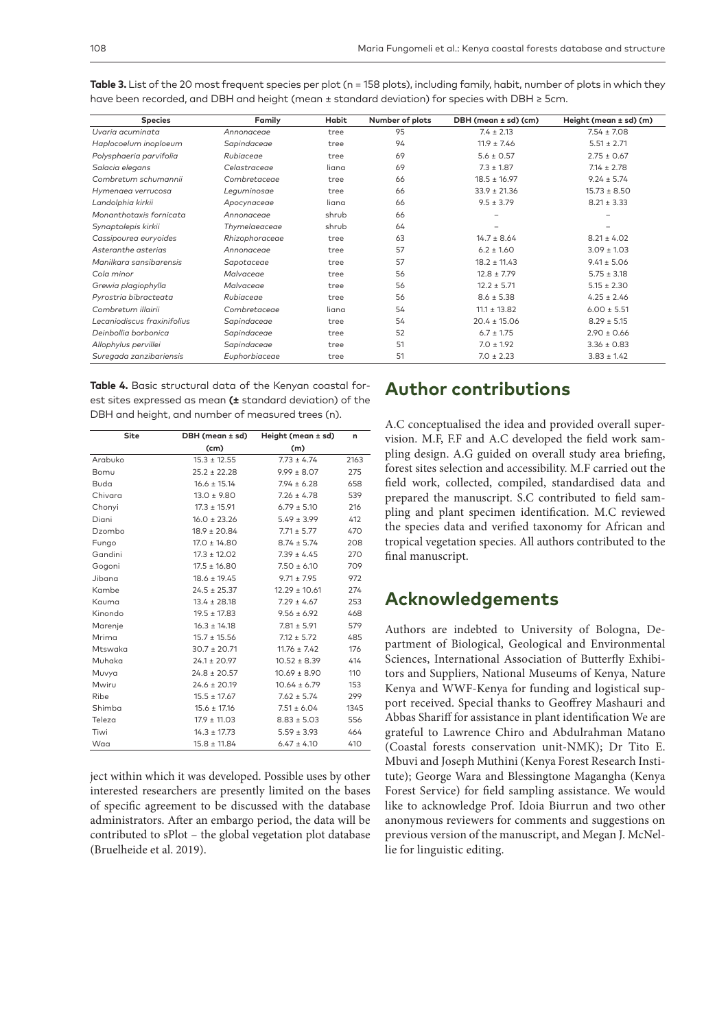| <b>Species</b>              | Family         | Habit | Number of plots | DBH (mean ± sd) (cm) | Height (mean $\pm$ sd) (m) |
|-----------------------------|----------------|-------|-----------------|----------------------|----------------------------|
| Uvaria acuminata            | Annonaceae     | tree  | 95              | $7.4 \pm 2.13$       | $7.54 \pm 7.08$            |
| Haplocoelum inoploeum       | Sapindaceae    | tree  | 94              | $11.9 \pm 7.46$      | $5.51 \pm 2.71$            |
| Polysphaeria parvifolia     | Rubiaceae      | tree  | 69              | $5.6 \pm 0.57$       | $2.75 \pm 0.67$            |
| Salacia elegans             | Celastraceae   | liana | 69              | $7.3 \pm 1.87$       | $7.14 \pm 2.78$            |
| Combretum schumannii        | Combretaceae   | tree  | 66              | $18.5 \pm 16.97$     | $9.24 \pm 5.74$            |
| Hymenaea verrucosa          | Leguminosae    | tree  | 66              | $33.9 \pm 21.36$     | $15.73 \pm 8.50$           |
| Landolphia kirkii           | Apocynaceae    | liana | 66              | $9.5 \pm 3.79$       | $8.21 \pm 3.33$            |
| Monanthotaxis fornicata     | Annonaceae     | shrub | 66              |                      |                            |
| Synaptolepis kirkii         | Thymelaeaceae  | shrub | 64              |                      |                            |
| Cassipourea euryoides       | Rhizophoraceae | tree  | 63              | $14.7 \pm 8.64$      | $8.21 \pm 4.02$            |
| Asteranthe asterias         | Annonaceae     | tree  | 57              | $6.2 \pm 1.60$       | $3.09 \pm 1.03$            |
| Manilkara sansibarensis     | Sapotaceae     | tree  | 57              | $18.2 \pm 11.43$     | $9.41 \pm 5.06$            |
| Cola minor                  | Malvaceae      | tree  | 56              | $12.8 \pm 7.79$      | $5.75 \pm 3.18$            |
| Grewia plagiophylla         | Malvaceae      | tree  | 56              | $12.2 \pm 5.71$      | $5.15 \pm 2.30$            |
| Pyrostria bibracteata       | Rubiaceae      | tree  | 56              | $8.6 \pm 5.38$       | $4.25 \pm 2.46$            |
| Combretum illairii          | Combretaceae   | liana | 54              | $11.1 \pm 13.82$     | $6.00 \pm 5.51$            |
| Lecaniodiscus fraxinifolius | Sapindaceae    | tree  | 54              | $20.4 \pm 15.06$     | $8.29 \pm 5.15$            |
| Deinbollia borbonica        | Sapindaceae    | tree  | 52              | $6.7 \pm 1.75$       | $2.90 \pm 0.66$            |
| Allophylus pervillei        | Sapindaceae    | tree  | 51              | $7.0 \pm 1.92$       | $3.36 \pm 0.83$            |
| Suregada zanzibariensis     | Euphorbiaceae  | tree  | 51              | $7.0 \pm 2.23$       | $3.83 \pm 1.42$            |

Table 3. List of the 20 most frequent species per plot (n = 158 plots), including family, habit, number of plots in which they have been recorded, and DBH and height (mean ± standard deviation) for species with DBH ≥ 5cm.

**Table 4.** Basic structural data of the Kenyan coastal forest sites expressed as mean **(±** standard deviation) of the DBH and height, and number of measured trees (n).

| Site    | DBH (mean ± sd)  | Height (mean ± sd) | n    |
|---------|------------------|--------------------|------|
|         | (cm)             | (m)                |      |
| Arabuko | $15.3 \pm 12.55$ | $7.73 \pm 4.74$    | 2163 |
| Bomu    | $25.2 \pm 22.28$ | $9.99 \pm 8.07$    | 275  |
| Buda    | $16.6 \pm 15.14$ | $7.94 \pm 6.28$    | 658  |
| Chivara | $13.0 \pm 9.80$  | $7.26 \pm 4.78$    | 539  |
| Chonyi  | $17.3 \pm 15.91$ | $6.79 \pm 5.10$    | 216  |
| Diani   | $16.0 \pm 23.26$ | $5.49 \pm 3.99$    | 412  |
| Dzombo  | $18.9 \pm 20.84$ | $7.71 \pm 5.77$    | 470  |
| Fungo   | $17.0 \pm 14.80$ | $8.74 \pm 5.74$    | 208  |
| Gandini | $17.3 \pm 12.02$ | $7.39 \pm 4.45$    | 270  |
| Gogoni  | $17.5 \pm 16.80$ | $7.50 \pm 6.10$    | 709  |
| Jibana  | $18.6 \pm 19.45$ | $9.71 \pm 7.95$    | 972  |
| Kambe   | $24.5 \pm 25.37$ | $12.29 \pm 10.61$  | 274  |
| Kauma   | $13.4 \pm 28.18$ | $7.29 \pm 4.67$    | 253  |
| Kinondo | $19.5 \pm 17.83$ | $9.56 \pm 6.92$    | 468  |
| Marenje | $16.3 \pm 14.18$ | $7.81 \pm 5.91$    | 579  |
| Mrima   | $15.7 \pm 15.56$ | $7.12 \pm 5.72$    | 485  |
| Mtswaka | $30.7 \pm 20.71$ | $11.76 \pm 7.42$   | 176  |
| Muhaka  | $24.1 \pm 20.97$ | $10.52 \pm 8.39$   | 414  |
| Muvya   | $24.8 \pm 20.57$ | $10.69 \pm 8.90$   | 110  |
| Mwiru   | $24.6 \pm 20.19$ | $10.64 \pm 6.79$   | 153  |
| Ribe    | $15.5 \pm 17.67$ | $7.62 \pm 5.74$    | 299  |
| Shimba  | $15.6 \pm 17.16$ | $7.51 \pm 6.04$    | 1345 |
| Teleza  | $17.9 \pm 11.03$ | $8.83 \pm 5.03$    | 556  |
| Tiwi    | $14.3 \pm 17.73$ | $5.59 \pm 3.93$    | 464  |
| Waa     | $15.8 \pm 11.84$ | $6.47 \pm 4.10$    | 410  |

ject within which it was developed. Possible uses by other interested researchers are presently limited on the bases of specific agreement to be discussed with the database administrators. After an embargo period, the data will be contributed to sPlot – the global vegetation plot database (Bruelheide et al. 2019).

# **Author contributions**

A.C conceptualised the idea and provided overall supervision. M.F, F.F and A.C developed the field work sampling design. A.G guided on overall study area briefing, forest sites selection and accessibility. M.F carried out the field work, collected, compiled, standardised data and prepared the manuscript. S.C contributed to field sampling and plant specimen identification. M.C reviewed the species data and verified taxonomy for African and tropical vegetation species. All authors contributed to the final manuscript.

# **Acknowledgements**

Authors are indebted to University of Bologna, Department of Biological, Geological and Environmental Sciences, International Association of Butterfly Exhibitors and Suppliers, National Museums of Kenya, Nature Kenya and WWF-Kenya for funding and logistical support received. Special thanks to Geoffrey Mashauri and Abbas Shariff for assistance in plant identification We are grateful to Lawrence Chiro and Abdulrahman Matano (Coastal forests conservation unit-NMK); Dr Tito E. Mbuvi and Joseph Muthini (Kenya Forest Research Institute); George Wara and Blessingtone Magangha (Kenya Forest Service) for field sampling assistance. We would like to acknowledge Prof. Idoia Biurrun and two other anonymous reviewers for comments and suggestions on previous version of the manuscript, and Megan J. McNellie for linguistic editing.